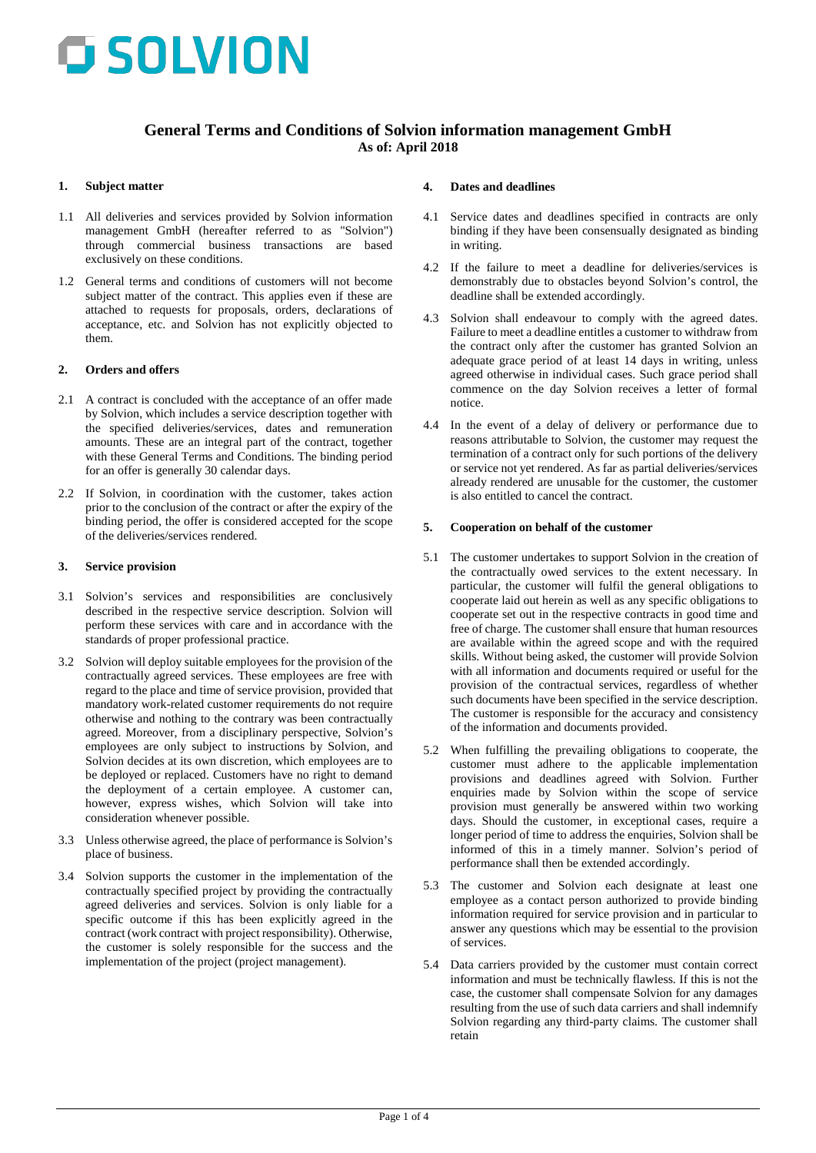

# **General Terms and Conditions of Solvion information management GmbH As of: April 2018**

#### **1. Subject matter**

- 1.1 All deliveries and services provided by Solvion information management GmbH (hereafter referred to as "Solvion") through commercial business transactions are based exclusively on these conditions.
- 1.2 General terms and conditions of customers will not become subject matter of the contract. This applies even if these are attached to requests for proposals, orders, declarations of acceptance, etc. and Solvion has not explicitly objected to them.

#### **2. Orders and offers**

- 2.1 A contract is concluded with the acceptance of an offer made by Solvion, which includes a service description together with the specified deliveries/services, dates and remuneration amounts. These are an integral part of the contract, together with these General Terms and Conditions. The binding period for an offer is generally 30 calendar days.
- 2.2 If Solvion, in coordination with the customer, takes action prior to the conclusion of the contract or after the expiry of the binding period, the offer is considered accepted for the scope of the deliveries/services rendered.

#### **3. Service provision**

- 3.1 Solvion's services and responsibilities are conclusively described in the respective service description. Solvion will perform these services with care and in accordance with the standards of proper professional practice.
- 3.2 Solvion will deploy suitable employees for the provision of the contractually agreed services. These employees are free with regard to the place and time of service provision, provided that mandatory work-related customer requirements do not require otherwise and nothing to the contrary was been contractually agreed. Moreover, from a disciplinary perspective, Solvion's employees are only subject to instructions by Solvion, and Solvion decides at its own discretion, which employees are to be deployed or replaced. Customers have no right to demand the deployment of a certain employee. A customer can, however, express wishes, which Solvion will take into consideration whenever possible.
- 3.3 Unless otherwise agreed, the place of performance is Solvion's place of business.
- 3.4 Solvion supports the customer in the implementation of the contractually specified project by providing the contractually agreed deliveries and services. Solvion is only liable for a specific outcome if this has been explicitly agreed in the contract (work contract with project responsibility). Otherwise, the customer is solely responsible for the success and the implementation of the project (project management).

#### **4. Dates and deadlines**

- 4.1 Service dates and deadlines specified in contracts are only binding if they have been consensually designated as binding in writing.
- 4.2 If the failure to meet a deadline for deliveries/services is demonstrably due to obstacles beyond Solvion's control, the deadline shall be extended accordingly.
- 4.3 Solvion shall endeavour to comply with the agreed dates. Failure to meet a deadline entitles a customer to withdraw from the contract only after the customer has granted Solvion an adequate grace period of at least 14 days in writing, unless agreed otherwise in individual cases. Such grace period shall commence on the day Solvion receives a letter of formal notice.
- 4.4 In the event of a delay of delivery or performance due to reasons attributable to Solvion, the customer may request the termination of a contract only for such portions of the delivery or service not yet rendered. As far as partial deliveries/services already rendered are unusable for the customer, the customer is also entitled to cancel the contract.

### **5. Cooperation on behalf of the customer**

- 5.1 The customer undertakes to support Solvion in the creation of the contractually owed services to the extent necessary. In particular, the customer will fulfil the general obligations to cooperate laid out herein as well as any specific obligations to cooperate set out in the respective contracts in good time and free of charge. The customer shall ensure that human resources are available within the agreed scope and with the required skills. Without being asked, the customer will provide Solvion with all information and documents required or useful for the provision of the contractual services, regardless of whether such documents have been specified in the service description. The customer is responsible for the accuracy and consistency of the information and documents provided.
- 5.2 When fulfilling the prevailing obligations to cooperate, the customer must adhere to the applicable implementation provisions and deadlines agreed with Solvion. Further enquiries made by Solvion within the scope of service provision must generally be answered within two working days. Should the customer, in exceptional cases, require a longer period of time to address the enquiries, Solvion shall be informed of this in a timely manner. Solvion's period of performance shall then be extended accordingly.
- 5.3 The customer and Solvion each designate at least one employee as a contact person authorized to provide binding information required for service provision and in particular to answer any questions which may be essential to the provision of services.
- 5.4 Data carriers provided by the customer must contain correct information and must be technically flawless. If this is not the case, the customer shall compensate Solvion for any damages resulting from the use of such data carriers and shall indemnify Solvion regarding any third-party claims. The customer shall retain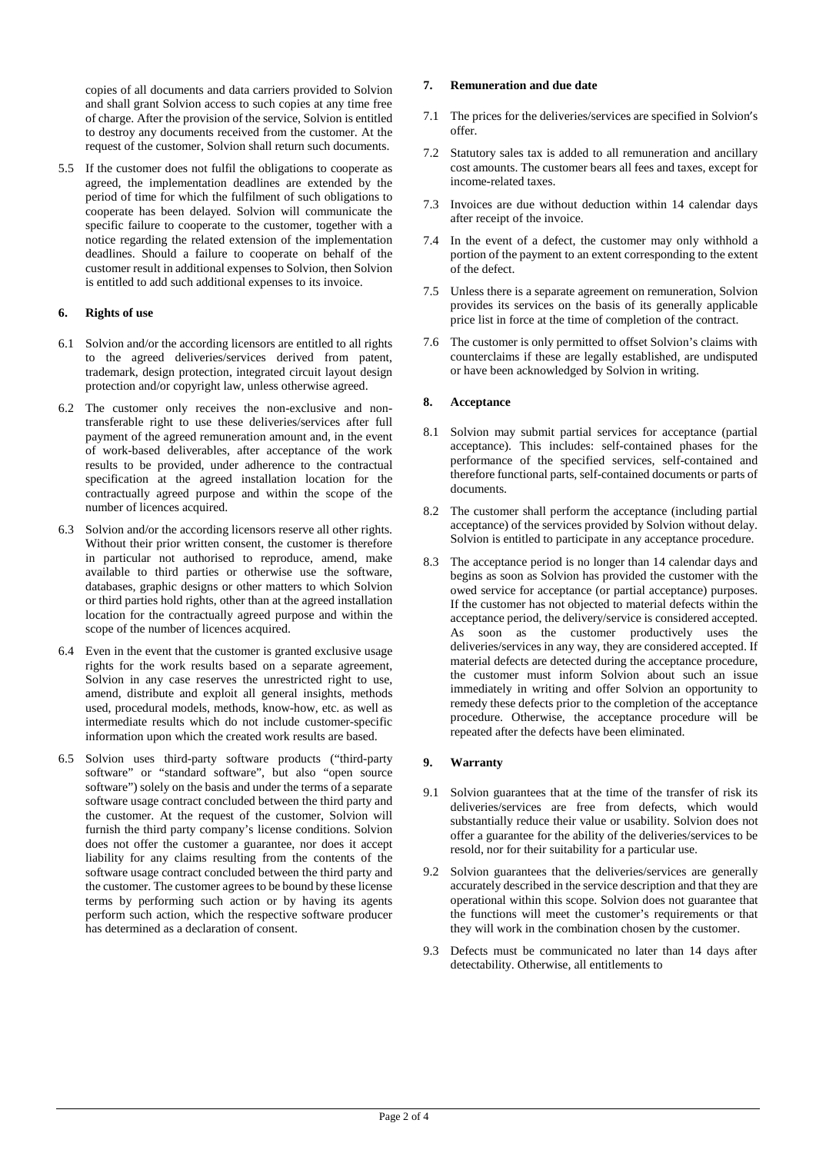copies of all documents and data carriers provided to Solvion and shall grant Solvion access to such copies at any time free of charge. After the provision of the service, Solvion is entitled to destroy any documents received from the customer. At the request of the customer, Solvion shall return such documents.

5.5 If the customer does not fulfil the obligations to cooperate as agreed, the implementation deadlines are extended by the period of time for which the fulfilment of such obligations to cooperate has been delayed. Solvion will communicate the specific failure to cooperate to the customer, together with a notice regarding the related extension of the implementation deadlines. Should a failure to cooperate on behalf of the customer result in additional expenses to Solvion, then Solvion is entitled to add such additional expenses to its invoice.

### **6. Rights of use**

- 6.1 Solvion and/or the according licensors are entitled to all rights to the agreed deliveries/services derived from patent, trademark, design protection, integrated circuit layout design protection and/or copyright law, unless otherwise agreed.
- 6.2 The customer only receives the non-exclusive and nontransferable right to use these deliveries/services after full payment of the agreed remuneration amount and, in the event of work-based deliverables, after acceptance of the work results to be provided, under adherence to the contractual specification at the agreed installation location for the contractually agreed purpose and within the scope of the number of licences acquired.
- 6.3 Solvion and/or the according licensors reserve all other rights. Without their prior written consent, the customer is therefore in particular not authorised to reproduce, amend, make available to third parties or otherwise use the software, databases, graphic designs or other matters to which Solvion or third parties hold rights, other than at the agreed installation location for the contractually agreed purpose and within the scope of the number of licences acquired.
- 6.4 Even in the event that the customer is granted exclusive usage rights for the work results based on a separate agreement, Solvion in any case reserves the unrestricted right to use, amend, distribute and exploit all general insights, methods used, procedural models, methods, know-how, etc. as well as intermediate results which do not include customer-specific information upon which the created work results are based.
- 6.5 Solvion uses third-party software products ("third-party software" or "standard software", but also "open source software") solely on the basis and under the terms of a separate software usage contract concluded between the third party and the customer. At the request of the customer, Solvion will furnish the third party company's license conditions. Solvion does not offer the customer a guarantee, nor does it accept liability for any claims resulting from the contents of the software usage contract concluded between the third party and the customer. The customer agrees to be bound by these license terms by performing such action or by having its agents perform such action, which the respective software producer has determined as a declaration of consent.

# **7. Remuneration and due date**

- 7.1 The prices for the deliveries/services are specified in Solvion's offer.
- 7.2 Statutory sales tax is added to all remuneration and ancillary cost amounts. The customer bears all fees and taxes, except for income-related taxes.
- 7.3 Invoices are due without deduction within 14 calendar days after receipt of the invoice.
- 7.4 In the event of a defect, the customer may only withhold a portion of the payment to an extent corresponding to the extent of the defect.
- 7.5 Unless there is a separate agreement on remuneration, Solvion provides its services on the basis of its generally applicable price list in force at the time of completion of the contract.
- 7.6 The customer is only permitted to offset Solvion's claims with counterclaims if these are legally established, are undisputed or have been acknowledged by Solvion in writing.

# **8. Acceptance**

- 8.1 Solvion may submit partial services for acceptance (partial acceptance). This includes: self-contained phases for the performance of the specified services, self-contained and therefore functional parts, self-contained documents or parts of documents.
- 8.2 The customer shall perform the acceptance (including partial acceptance) of the services provided by Solvion without delay. Solvion is entitled to participate in any acceptance procedure.
- 8.3 The acceptance period is no longer than 14 calendar days and begins as soon as Solvion has provided the customer with the owed service for acceptance (or partial acceptance) purposes. If the customer has not objected to material defects within the acceptance period, the delivery/service is considered accepted. As soon as the customer productively uses the deliveries/services in any way, they are considered accepted. If material defects are detected during the acceptance procedure, the customer must inform Solvion about such an issue immediately in writing and offer Solvion an opportunity to remedy these defects prior to the completion of the acceptance procedure. Otherwise, the acceptance procedure will be repeated after the defects have been eliminated.

# **9. Warranty**

- 9.1 Solvion guarantees that at the time of the transfer of risk its deliveries/services are free from defects, which would substantially reduce their value or usability. Solvion does not offer a guarantee for the ability of the deliveries/services to be resold, nor for their suitability for a particular use.
- 9.2 Solvion guarantees that the deliveries/services are generally accurately described in the service description and that they are operational within this scope. Solvion does not guarantee that the functions will meet the customer's requirements or that they will work in the combination chosen by the customer.
- 9.3 Defects must be communicated no later than 14 days after detectability. Otherwise, all entitlements to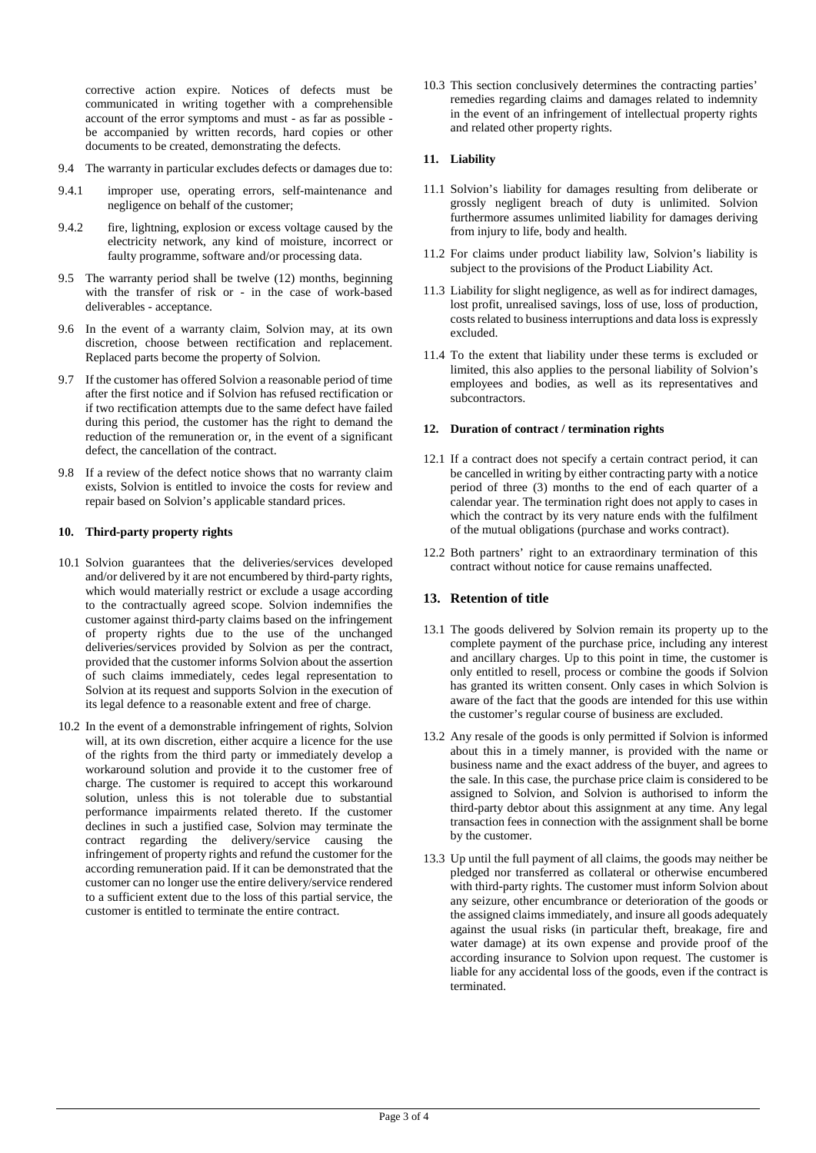corrective action expire. Notices of defects must be communicated in writing together with a comprehensible account of the error symptoms and must - as far as possible be accompanied by written records, hard copies or other documents to be created, demonstrating the defects.

- 9.4 The warranty in particular excludes defects or damages due to:
- 9.4.1 improper use, operating errors, self-maintenance and negligence on behalf of the customer;
- 9.4.2 fire, lightning, explosion or excess voltage caused by the electricity network, any kind of moisture, incorrect or faulty programme, software and/or processing data.
- 9.5 The warranty period shall be twelve (12) months, beginning with the transfer of risk or - in the case of work-based deliverables - acceptance.
- 9.6 In the event of a warranty claim, Solvion may, at its own discretion, choose between rectification and replacement. Replaced parts become the property of Solvion.
- 9.7 If the customer has offered Solvion a reasonable period of time after the first notice and if Solvion has refused rectification or if two rectification attempts due to the same defect have failed during this period, the customer has the right to demand the reduction of the remuneration or, in the event of a significant defect, the cancellation of the contract.
- 9.8 If a review of the defect notice shows that no warranty claim exists, Solvion is entitled to invoice the costs for review and repair based on Solvion's applicable standard prices.

### **10. Third-party property rights**

- 10.1 Solvion guarantees that the deliveries/services developed and/or delivered by it are not encumbered by third-party rights, which would materially restrict or exclude a usage according to the contractually agreed scope. Solvion indemnifies the customer against third-party claims based on the infringement of property rights due to the use of the unchanged deliveries/services provided by Solvion as per the contract, provided that the customer informs Solvion about the assertion of such claims immediately, cedes legal representation to Solvion at its request and supports Solvion in the execution of its legal defence to a reasonable extent and free of charge.
- 10.2 In the event of a demonstrable infringement of rights, Solvion will, at its own discretion, either acquire a licence for the use of the rights from the third party or immediately develop a workaround solution and provide it to the customer free of charge. The customer is required to accept this workaround solution, unless this is not tolerable due to substantial performance impairments related thereto. If the customer declines in such a justified case, Solvion may terminate the contract regarding the delivery/service causing the infringement of property rights and refund the customer for the according remuneration paid. If it can be demonstrated that the customer can no longer use the entire delivery/service rendered to a sufficient extent due to the loss of this partial service, the customer is entitled to terminate the entire contract.

10.3 This section conclusively determines the contracting parties' remedies regarding claims and damages related to indemnity in the event of an infringement of intellectual property rights and related other property rights.

### **11. Liability**

- 11.1 Solvion's liability for damages resulting from deliberate or grossly negligent breach of duty is unlimited. Solvion furthermore assumes unlimited liability for damages deriving from injury to life, body and health.
- 11.2 For claims under product liability law, Solvion's liability is subject to the provisions of the Product Liability Act.
- 11.3 Liability for slight negligence, as well as for indirect damages, lost profit, unrealised savings, loss of use, loss of production, costs related to business interruptions and data loss is expressly excluded.
- 11.4 To the extent that liability under these terms is excluded or limited, this also applies to the personal liability of Solvion's employees and bodies, as well as its representatives and subcontractors.

### **12. Duration of contract / termination rights**

- 12.1 If a contract does not specify a certain contract period, it can be cancelled in writing by either contracting party with a notice period of three (3) months to the end of each quarter of a calendar year. The termination right does not apply to cases in which the contract by its very nature ends with the fulfilment of the mutual obligations (purchase and works contract).
- 12.2 Both partners' right to an extraordinary termination of this contract without notice for cause remains unaffected.

# **13. Retention of title**

- 13.1 The goods delivered by Solvion remain its property up to the complete payment of the purchase price, including any interest and ancillary charges. Up to this point in time, the customer is only entitled to resell, process or combine the goods if Solvion has granted its written consent. Only cases in which Solvion is aware of the fact that the goods are intended for this use within the customer's regular course of business are excluded.
- 13.2 Any resale of the goods is only permitted if Solvion is informed about this in a timely manner, is provided with the name or business name and the exact address of the buyer, and agrees to the sale. In this case, the purchase price claim is considered to be assigned to Solvion, and Solvion is authorised to inform the third-party debtor about this assignment at any time. Any legal transaction fees in connection with the assignment shall be borne by the customer.
- 13.3 Up until the full payment of all claims, the goods may neither be pledged nor transferred as collateral or otherwise encumbered with third-party rights. The customer must inform Solvion about any seizure, other encumbrance or deterioration of the goods or the assigned claims immediately, and insure all goods adequately against the usual risks (in particular theft, breakage, fire and water damage) at its own expense and provide proof of the according insurance to Solvion upon request. The customer is liable for any accidental loss of the goods, even if the contract is terminated.